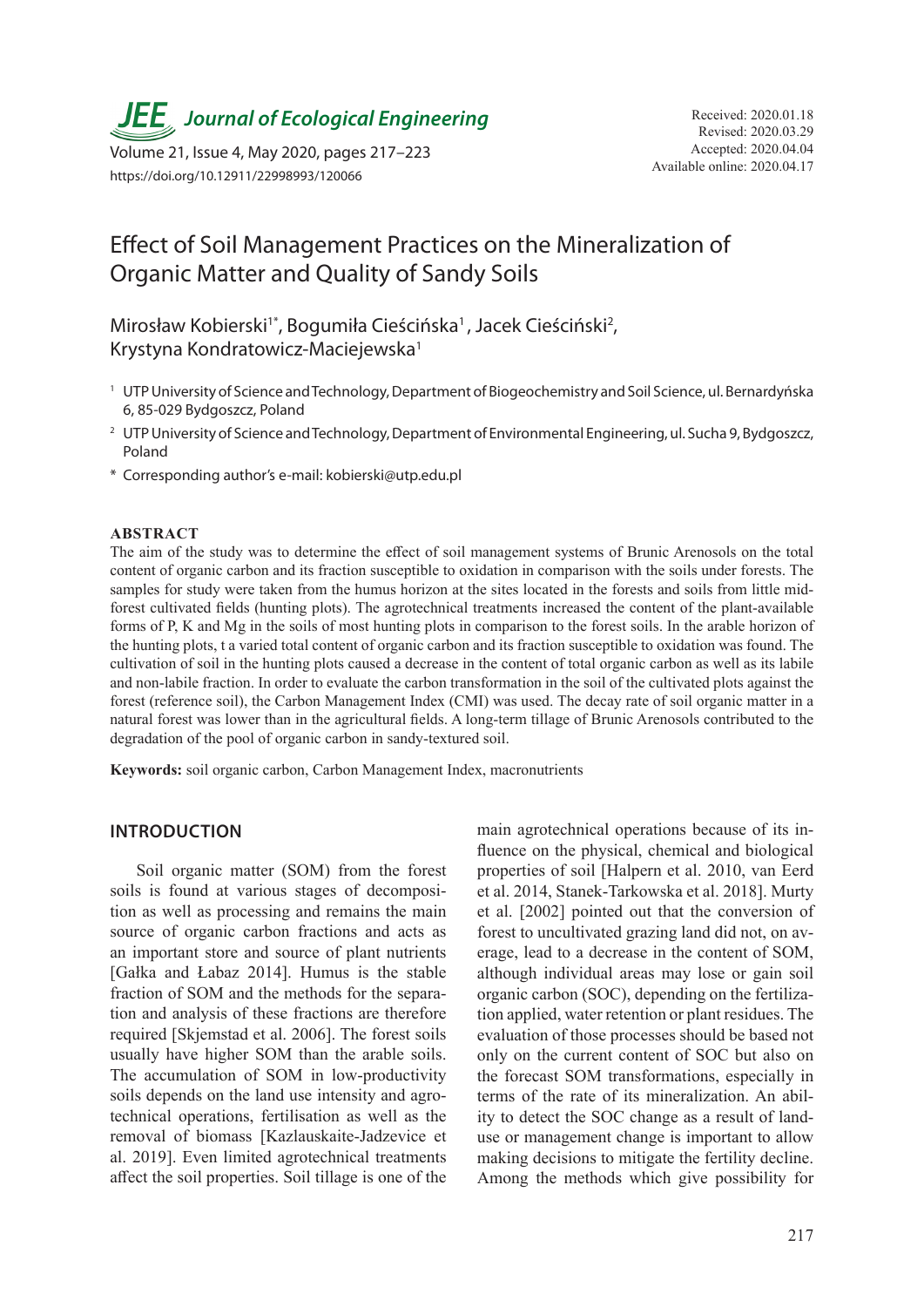**JEE** Journal of Ecological Engineering Received: 2020.01.18

Available online: 2020.04.17 Volume 21, Issue 4, May 2020, pages 217–223 https://doi.org/10.12911/22998993/120066

# Effect of Soil Management Practices on the Mineralization of Organic Matter and Quality of Sandy Soils

Mirosław Kobierski<sup>1\*</sup>, Bogumiła Cieścińska<sup>1</sup>, Jacek Cieściński<sup>2</sup>, Krystyna Kondratowicz-Maciejewska1

- <sup>1</sup> UTP University of Science and Technology, Department of Biogeochemistry and Soil Science, ul. Bernardyńska 6, 85-029 Bydgoszcz, Poland
- <sup>2</sup> UTP University of Science and Technology, Department of Environmental Engineering, ul. Sucha 9, Bydgoszcz, Poland
- \* Corresponding author's e-mail: kobierski@utp.edu.pl

#### **ABSTRACT**

The aim of the study was to determine the effect of soil management systems of Brunic Arenosols on the total content of organic carbon and its fraction susceptible to oxidation in comparison with the soils under forests. The samples for study were taken from the humus horizon at the sites located in the forests and soils from little midforest cultivated fields (hunting plots). The agrotechnical treatments increased the content of the plant-available forms of P, K and Mg in the soils of most hunting plots in comparison to the forest soils. In the arable horizon of the hunting plots, t a varied total content of organic carbon and its fraction susceptible to oxidation was found. The cultivation of soil in the hunting plots caused a decrease in the content of total organic carbon as well as its labile and non-labile fraction. In order to evaluate the carbon transformation in the soil of the cultivated plots against the forest (reference soil), the Carbon Management Index (CMI) was used. The decay rate of soil organic matter in a natural forest was lower than in the agricultural fields. A long-term tillage of Brunic Arenosols contributed to the degradation of the pool of organic carbon in sandy-textured soil.

**Keywords:** soil organic carbon, Carbon Management Index, macronutrients

## **INTRODUCTION**

Soil organic matter (SOM) from the forest soils is found at various stages of decomposition as well as processing and remains the main source of organic carbon fractions and acts as an important store and source of plant nutrients [Gałka and Łabaz 2014]. Humus is the stable fraction of SOM and the methods for the separation and analysis of these fractions are therefore required [Skjemstad et al. 2006]. The forest soils usually have higher SOM than the arable soils. The accumulation of SOM in low-productivity soils depends on the land use intensity and agrotechnical operations, fertilisation as well as the removal of biomass [Kazlauskaite-Jadzevice et al. 2019]. Even limited agrotechnical treatments affect the soil properties. Soil tillage is one of the

main agrotechnical operations because of its influence on the physical, chemical and biological properties of soil [Halpern et al. 2010, van Eerd et al. 2014, Stanek-Tarkowska et al. 2018]. Murty et al. [2002] pointed out that the conversion of forest to uncultivated grazing land did not, on average, lead to a decrease in the content of SOM, although individual areas may lose or gain soil organic carbon (SOC), depending on the fertilization applied, water retention or plant residues. The evaluation of those processes should be based not only on the current content of SOC but also on the forecast SOM transformations, especially in terms of the rate of its mineralization. An ability to detect the SOC change as a result of landuse or management change is important to allow making decisions to mitigate the fertility decline. Among the methods which give possibility for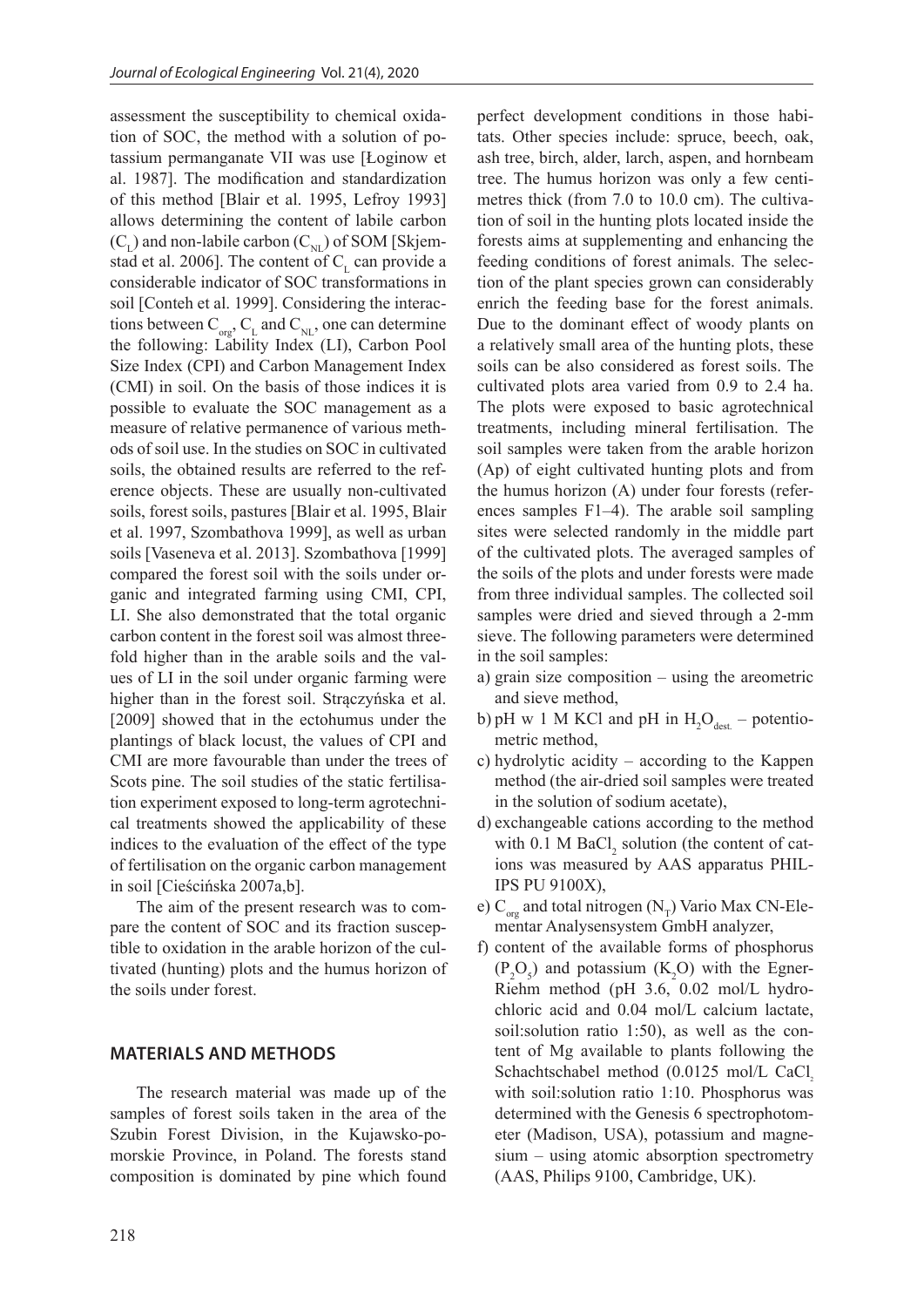assessment the susceptibility to chemical oxidation of SOC, the method with a solution of potassium permanganate VII was use [Łoginow et al. 1987]. The modification and standardization of this method [Blair et al. 1995, Lefroy 1993] allows determining the content of labile carbon  $(C<sub>L</sub>)$  and non-labile carbon  $(C<sub>NL</sub>)$  of SOM [Skjemstad et al. 2006]. The content of  $C<sub>r</sub>$  can provide a considerable indicator of SOC transformations in soil [Conteh et al. 1999]. Considering the interactions between  $C_{\text{or}}$ ,  $C_{\text{L}}$  and  $C_{\text{NL}}$ , one can determine the following: Lability Index (LI), Carbon Pool Size Index (CPI) and Carbon Management Index (CMI) in soil. On the basis of those indices it is possible to evaluate the SOC management as a measure of relative permanence of various methods of soil use. In the studies on SOC in cultivated soils, the obtained results are referred to the reference objects. These are usually non-cultivated soils, forest soils, pastures [Blair et al. 1995, Blair et al. 1997, Szombathova 1999], as well as urban soils [Vaseneva et al. 2013]. Szombathova [1999] compared the forest soil with the soils under organic and integrated farming using CMI, CPI, LI. She also demonstrated that the total organic carbon content in the forest soil was almost threefold higher than in the arable soils and the values of LI in the soil under organic farming were higher than in the forest soil. Strączyńska et al. [2009] showed that in the ectohumus under the plantings of black locust, the values of CPI and CMI are more favourable than under the trees of Scots pine. The soil studies of the static fertilisation experiment exposed to long-term agrotechnical treatments showed the applicability of these indices to the evaluation of the effect of the type of fertilisation on the organic carbon management in soil [Cieścińska 2007a,b].

The aim of the present research was to compare the content of SOC and its fraction susceptible to oxidation in the arable horizon of the cultivated (hunting) plots and the humus horizon of the soils under forest.

### **MATERIALS AND METHODS**

The research material was made up of the samples of forest soils taken in the area of the Szubin Forest Division, in the Kujawsko-pomorskie Province, in Poland. The forests stand composition is dominated by pine which found perfect development conditions in those habitats. Other species include: spruce, beech, oak, ash tree, birch, alder, larch, aspen, and hornbeam tree. The humus horizon was only a few centimetres thick (from 7.0 to 10.0 cm). The cultivation of soil in the hunting plots located inside the forests aims at supplementing and enhancing the feeding conditions of forest animals. The selection of the plant species grown can considerably enrich the feeding base for the forest animals. Due to the dominant effect of woody plants on a relatively small area of the hunting plots, these soils can be also considered as forest soils. The cultivated plots area varied from 0.9 to 2.4 ha. The plots were exposed to basic agrotechnical treatments, including mineral fertilisation. The soil samples were taken from the arable horizon (Ap) of eight cultivated hunting plots and from the humus horizon (A) under four forests (references samples F1–4). The arable soil sampling sites were selected randomly in the middle part of the cultivated plots. The averaged samples of the soils of the plots and under forests were made from three individual samples. The collected soil samples were dried and sieved through a 2-mm sieve. The following parameters were determined in the soil samples:

- a) grain size composition using the areometric and sieve method,
- b) pH w 1 M KCl and pH in  $H_2O_{\text{dest.}}$  potentiometric method,
- c) hydrolytic acidity according to the Kappen method (the air-dried soil samples were treated in the solution of sodium acetate),
- d) exchangeable cations according to the method with  $0.1$  M BaCl<sub>2</sub> solution (the content of cations was measured by AAS apparatus PHIL-IPS PU 9100X),
- e)  $C_{\text{or}}$  and total nitrogen (N<sub>T</sub>) Vario Max CN-Elementar Analysensystem GmbH analyzer,
- f) content of the available forms of phosphorus  $(P_2O_5)$  and potassium  $(K_2O)$  with the Egner-Riehm method (pH 3.6, 0.02 mol/L hydrochloric acid and 0.04 mol/L calcium lactate, soil:solution ratio 1:50), as well as the content of Mg available to plants following the Schachtschabel method  $(0.0125 \text{ mol/L } CaCl,$ with soil:solution ratio 1:10. Phosphorus was determined with the Genesis 6 spectrophotometer (Madison, USA), potassium and magnesium – using atomic absorption spectrometry (AAS, Philips 9100, Cambridge, UK).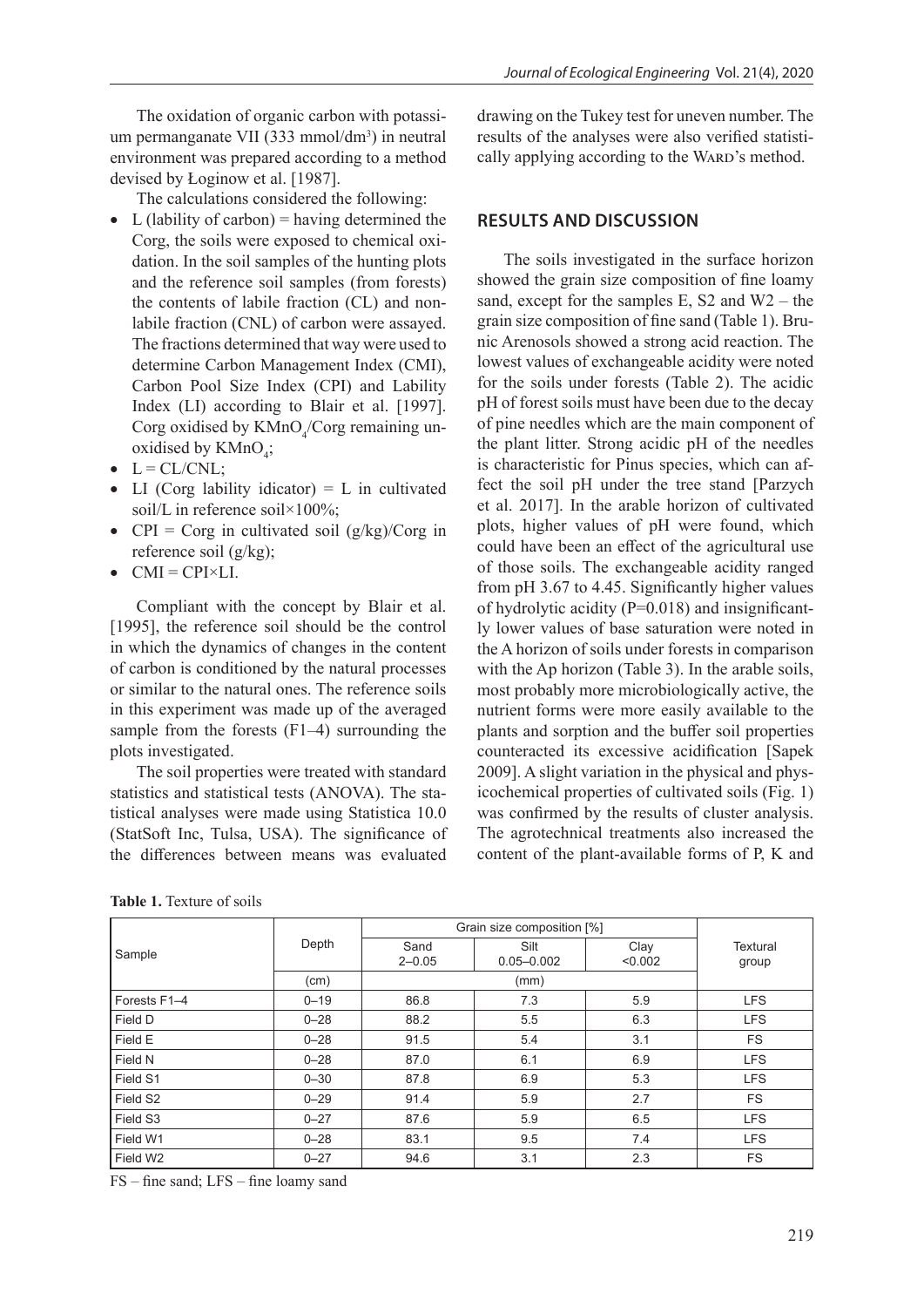The oxidation of organic carbon with potassium permanganate VII (333 mmol/dm<sup>3</sup>) in neutral environment was prepared according to a method devised by Łoginow et al. [1987].

The calculations considered the following:

- L (lability of carbon) = having determined the Corg, the soils were exposed to chemical oxidation. In the soil samples of the hunting plots and the reference soil samples (from forests) the contents of labile fraction (CL) and nonlabile fraction (CNL) of carbon were assayed. The fractions determined that way were used to determine Carbon Management Index (CMI), Carbon Pool Size Index (CPI) and Lability Index (LI) according to Blair et al. [1997]. Corg oxidised by  $KMnO_4/Corg$  remaining unoxidised by  $KMnO<sub>4</sub>$ ;
- $\bullet$  L = CL/CNL;
- LI (Corg lability idicator)  $= L$  in cultivated soil/L in reference soil×100%;
- CPI = Corg in cultivated soil  $(g/kg)/Corg$  in reference soil (g/kg);
- $\bullet$  CMI = CPI $\times$ LL

Compliant with the concept by Blair et al. [1995], the reference soil should be the control in which the dynamics of changes in the content of carbon is conditioned by the natural processes or similar to the natural ones. The reference soils in this experiment was made up of the averaged sample from the forests (F1–4) surrounding the plots investigated.

The soil properties were treated with standard statistics and statistical tests (ANOVA). The statistical analyses were made using Statistica 10.0 (StatSoft Inc, Tulsa, USA). The significance of the differences between means was evaluated

drawing on the Tukey test for uneven number. The results of the analyses were also verified statistically applying according to the WARD's method.

## **RESULTS AND DISCUSSION**

The soils investigated in the surface horizon showed the grain size composition of fine loamy sand, except for the samples E, S2 and  $W2$  – the grain size composition of fine sand (Table 1). Brunic Arenosols showed a strong acid reaction. The lowest values of exchangeable acidity were noted for the soils under forests (Table 2). The acidic pH of forest soils must have been due to the decay of pine needles which are the main component of the plant litter. Strong acidic pH of the needles is characteristic for Pinus species, which can affect the soil pH under the tree stand [Parzych et al. 2017]. In the arable horizon of cultivated plots, higher values of pH were found, which could have been an effect of the agricultural use of those soils. The exchangeable acidity ranged from pH 3.67 to 4.45. Significantly higher values of hydrolytic acidity  $(P=0.018)$  and insignificantly lower values of base saturation were noted in the A horizon of soils under forests in comparison with the Ap horizon (Table 3). In the arable soils, most probably more microbiologically active, the nutrient forms were more easily available to the plants and sorption and the buffer soil properties counteracted its excessive acidification [Sapek 2009]. A slight variation in the physical and physicochemical properties of cultivated soils (Fig. 1) was confirmed by the results of cluster analysis. The agrotechnical treatments also increased the content of the plant-available forms of P, K and

|  | <b>Table 1.</b> Texture of soils |  |  |
|--|----------------------------------|--|--|
|  |                                  |  |  |

Sample Depth Grain size composition [%] **Textural** group **Sand** 2–0.05 **Silt** 0.05–0.002 **Clav** <0.002 (cm) (mm) Forests F1–4 0–19 86.8 7.3 5.9 LFS Field D | 0–28 | 88.2 | 5.5 | 6.3 | LFS Field E | 0–28 | 91.5 | 5.4 | 3.1 | FS Field N | 0–28 | 87.0 | 6.1 | 6.9 | LFS Field S1 | 0—30 | 87.8 | 6.9 | 5.3 | LFS Field S2 0–29 91.4 5.9 2.7 FS Field S3 | 0–27 | 87.6 | 5.9 | 6.5 | LFS Field W1 | 0—28 | 83.1 | 9.5 | 7.4 | LFS Field W2 | 0–27 | 94.6 | 3.1 | 2.3 | FS

FS – fine sand; LFS – fine loamy sand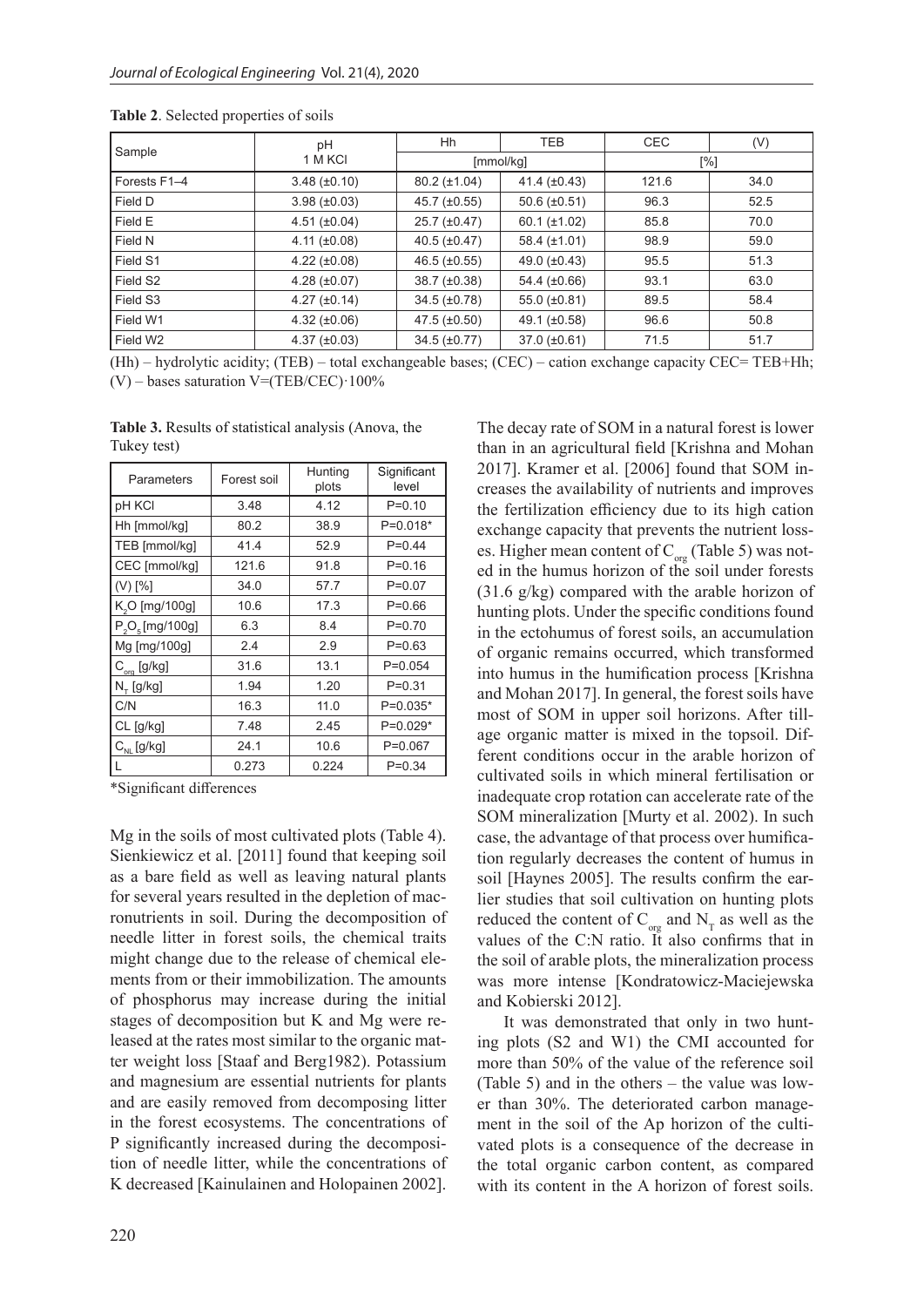| Sample               | pH                  | Hh                  | <b>TEB</b>          |       | (V)  |
|----------------------|---------------------|---------------------|---------------------|-------|------|
|                      | 1 M KCI             | [mmol/kg]           |                     | [%]   |      |
| Forests F1-4         | $3.48 (\pm 0.10)$   | $80.2 (\pm 1.04)$   | 41.4 $(\pm 0.43)$   | 121.6 | 34.0 |
| Field D              | $3.98 (\pm 0.03)$   | 45.7 $(\pm 0.55)$   | 50.6 $(\pm 0.51)$   | 96.3  | 52.5 |
| Field E              | $4.51 (\pm 0.04)$   | $25.7 \ (\pm 0.47)$ | $60.1 (\pm 1.02)$   | 85.8  | 70.0 |
| Field N              | 4.11 $(\pm 0.08)$   | $40.5 \ (\pm 0.47)$ | 58.4 $(\pm 1.01)$   | 98.9  | 59.0 |
| Field S1             | $4.22 (\pm 0.08)$   | 46.5 $(\pm 0.55)$   | 49.0 $(\pm 0.43)$   | 95.5  | 51.3 |
| Field S2             | $4.28 \ (\pm 0.07)$ | $38.7 (\pm 0.38)$   | 54.4 $(\pm 0.66)$   | 93.1  | 63.0 |
| Field S3             | $4.27 (\pm 0.14)$   | $34.5 (\pm 0.78)$   | 55.0 $(\pm 0.81)$   | 89.5  | 58.4 |
| Field W1             | $4.32 \ (\pm 0.06)$ | 47.5 $(\pm 0.50)$   | 49.1 $(\pm 0.58)$   | 96.6  | 50.8 |
| Field W <sub>2</sub> | $4.37 (\pm 0.03)$   | $34.5 (\pm 0.77)$   | $37.0 \ (\pm 0.61)$ | 71.5  | 51.7 |

**Table 2**. Selected properties of soils

(Hh) – hydrolytic acidity; (TEB) – total exchangeable bases; (CEC) – cation exchange capacity CEC= TEB+Hh;  $(V)$  – bases saturation V=(TEB/CEC) $\cdot$ 100%

**Table 3.** Results of statistical analysis (Anova, the Tukey test)

| Parameters                 | Forest soil | Hunting<br>plots | Significant<br>level |  |
|----------------------------|-------------|------------------|----------------------|--|
| pH KCI                     | 3.48        | 4.12             | $P = 0.10$           |  |
| Hh [mmol/kg]               | 80.2        | 38.9             | P=0.018*             |  |
| TEB [mmol/kg]              | 41.4        | 52.9             | $P=0.44$             |  |
| CEC [mmol/kg]              | 121.6       | 91.8             | $P = 0.16$           |  |
| $(V)$ [%]                  | 34.0        | 57.7             | $P = 0.07$           |  |
| K <sub>2</sub> O [mg/100g] | 10.6        | 17.3             | $P = 0.66$           |  |
| $P_2O_5$ [mg/100g]         | 6.3         | 8.4              | $P = 0.70$           |  |
| Mg [mg/100g]<br>2.4        |             | 2.9              | $P = 0.63$           |  |
| $C_{\text{org}}$ [g/kg]    | 31.6        | 13.1             | $P=0.054$            |  |
| $N_{\tau}$ [g/kg]          | 1.94        | 1.20             | $P = 0.31$           |  |
| C/N                        | 16.3        | 11.0             | $P=0.035*$           |  |
| $CL$ [g/kg]<br>7.48        |             | 2.45             | P=0.029*             |  |
| $C_{NL}$ [g/kg]            | 24.1        | 10.6             | $P=0.067$            |  |
|                            | 0.273       | 0.224            | $P=0.34$             |  |

\*Significant differences

Mg in the soils of most cultivated plots (Table 4). Sienkiewicz et al. [2011] found that keeping soil as a bare field as well as leaving natural plants for several years resulted in the depletion of macronutrients in soil. During the decomposition of needle litter in forest soils, the chemical traits might change due to the release of chemical elements from or their immobilization. The amounts of phosphorus may increase during the initial stages of decomposition but K and Mg were released at the rates most similar to the organic matter weight loss [Staaf and Berg1982). Potassium and magnesium are essential nutrients for plants and are easily removed from decomposing litter in the forest ecosystems. The concentrations of P significantly increased during the decomposition of needle litter, while the concentrations of K decreased [Kainulainen and Holopainen 2002].

The decay rate of SOM in a natural forest is lower than in an agricultural field [Krishna and Mohan 2017]. Kramer et al. [2006] found that SOM increases the availability of nutrients and improves the fertilization efficiency due to its high cation exchange capacity that prevents the nutrient losses. Higher mean content of  $C_{\text{ore}}$  (Table 5) was noted in the humus horizon of the soil under forests  $(31.6 \text{ g/kg})$  compared with the arable horizon of hunting plots. Under the specific conditions found in the ectohumus of forest soils, an accumulation of organic remains occurred, which transformed into humus in the humification process [Krishna and Mohan 2017]. In general, the forest soils have most of SOM in upper soil horizons. After tillage organic matter is mixed in the topsoil. Different conditions occur in the arable horizon of cultivated soils in which mineral fertilisation or inadequate crop rotation can accelerate rate of the SOM mineralization [Murty et al. 2002). In such case, the advantage of that process over humification regularly decreases the content of humus in soil [Haynes 2005]. The results confirm the earlier studies that soil cultivation on hunting plots reduced the content of  $C_{\text{or}}$  and  $N_{\text{T}}$  as well as the values of the C:N ratio. It also confirms that in the soil of arable plots, the mineralization process was more intense [Kondratowicz-Maciejewska and Kobierski 2012].

It was demonstrated that only in two hunting plots (S2 and W1) the CMI accounted for more than 50% of the value of the reference soil (Table 5) and in the others – the value was lower than 30%. The deteriorated carbon management in the soil of the Ap horizon of the cultivated plots is a consequence of the decrease in the total organic carbon content, as compared with its content in the A horizon of forest soils.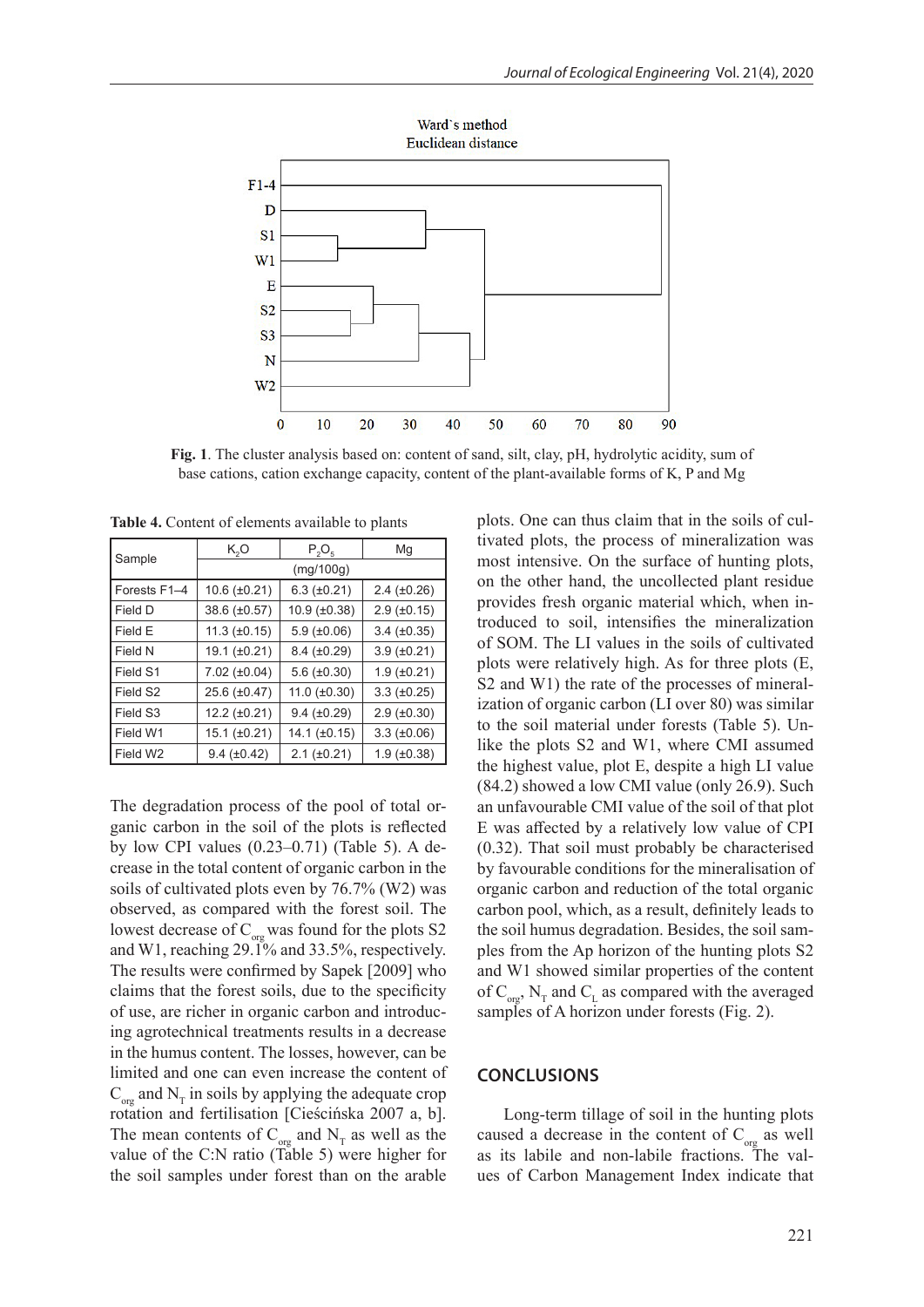

**Fig. 1**. The cluster analysis based on: content of sand, silt, clay, pH, hydrolytic acidity, sum of base cations, cation exchange capacity, content of the plant-available forms of K, P and Mg

**Table 4.** Content of elements available to plants

| Sample       | K,O                  | $P_2O_5$             | Mq                        |  |  |  |
|--------------|----------------------|----------------------|---------------------------|--|--|--|
|              | (mq/100q)            |                      |                           |  |  |  |
| Forests F1-4 | $10.6 (\pm 0.21)$    | $6.3$ ( $\pm 0.21$ ) | $2.4 \ (\pm 0.26)$        |  |  |  |
| l Field D    | 38.6 (±0.57)         | $10.9 \ (\pm 0.38)$  | $2.9$ ( $\pm 0.15$ )      |  |  |  |
| l Field E    | $11.3 \ (\pm 0.15)$  | $5.9$ ( $\pm 0.06$ ) | $3.4 \ (\pm 0.35)$        |  |  |  |
| l Field N    | 19.1 (±0.21)         | $8.4 \ (\pm 0.29)$   | $3.9 \ (\pm 0.21)$        |  |  |  |
| l Field S1   | $7.02 (\pm 0.04)$    | $5.6 \ (\pm 0.30)$   | $1.9$ ( $\pm 0.21$ )      |  |  |  |
| Field S2     | $25.6 (\pm 0.47)$    | 11.0 $(\pm 0.30)$    | $3.3 \text{ } (\pm 0.25)$ |  |  |  |
| Field S3     | $12.2 (\pm 0.21)$    | $9.4 \ (\pm 0.29)$   | $2.9$ ( $\pm 0.30$ )      |  |  |  |
| Field W1     | 15.1 (±0.21)         | 14.1 $(\pm 0.15)$    | $3.3 \ (\pm 0.06)$        |  |  |  |
| l Field W2   | $9.4$ ( $\pm 0.42$ ) | $2.1$ ( $\pm 0.21$ ) | $1.9 \ (\pm 0.38)$        |  |  |  |

The degradation process of the pool of total organic carbon in the soil of the plots is reflected by low CPI values (0.23–0.71) (Table 5). A decrease in the total content of organic carbon in the soils of cultivated plots even by 76.7% (W2) was observed, as compared with the forest soil. The lowest decrease of  $C_{\text{org}}$  was found for the plots S2 and W1, reaching 29.1% and 33.5%, respectively. The results were confirmed by Sapek [2009] who claims that the forest soils, due to the specificity of use, are richer in organic carbon and introducing agrotechnical treatments results in a decrease in the humus content. The losses, however, can be limited and one can even increase the content of  $C_{\text{cor}}$  and N<sub>T</sub> in soils by applying the adequate crop rotation and fertilisation [Cieścińska 2007 a, b]. The mean contents of  $C_{\text{or}}$  and  $N_{\text{T}}$  as well as the value of the C:N ratio (Table 5) were higher for the soil samples under forest than on the arable

plots. One can thus claim that in the soils of cultivated plots, the process of mineralization was most intensive. On the surface of hunting plots, on the other hand, the uncollected plant residue provides fresh organic material which, when introduced to soil, intensifies the mineralization of SOM. The LI values in the soils of cultivated plots were relatively high. As for three plots (E, S2 and W1) the rate of the processes of mineralization of organic carbon (LI over 80) was similar to the soil material under forests (Table 5). Unlike the plots S2 and W1, where CMI assumed the highest value, plot E, despite a high LI value (84.2) showed a low CMI value (only 26.9). Such an unfavourable CMI value of the soil of that plot E was affected by a relatively low value of CPI (0.32). That soil must probably be characterised by favourable conditions for the mineralisation of organic carbon and reduction of the total organic carbon pool, which, as a result, definitely leads to the soil humus degradation. Besides, the soil samples from the Ap horizon of the hunting plots S2 and W1 showed similar properties of the content of  $C_{\text{cor}}$ , N<sub>T</sub> and C<sub>L</sub> as compared with the averaged samples of A horizon under forests (Fig. 2).

#### **CONCLUSIONS**

Long-term tillage of soil in the hunting plots caused a decrease in the content of  $C_{\text{org}}$  as well as its labile and non-labile fractions. The values of Carbon Management Index indicate that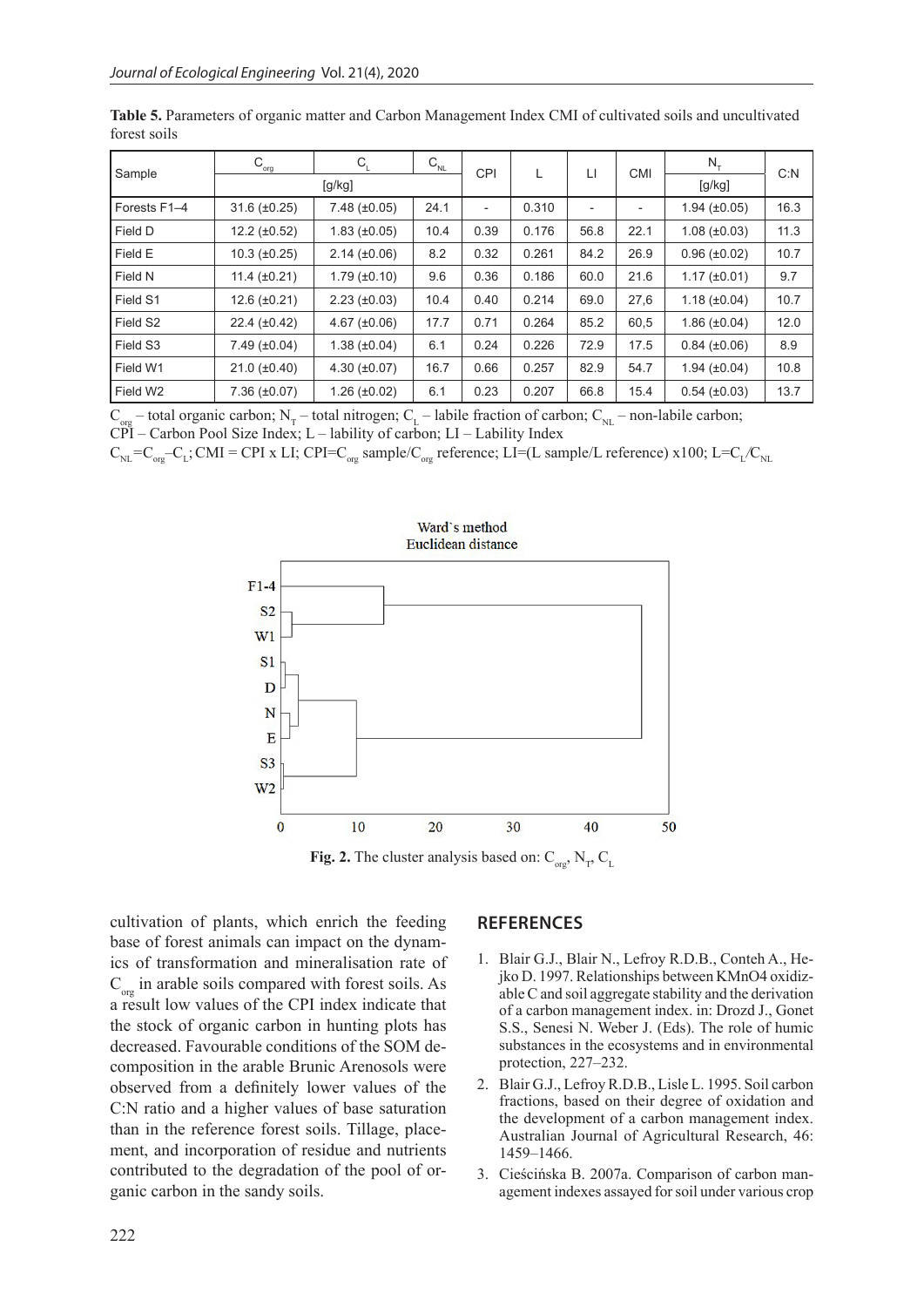| Sample       | $C_{_{\text{org}}}$ | $C_{1}$             | $\mathsf{C}_{_{\mathsf{NL}}}$ | <b>CPI</b> | L     | П                        | <b>CMI</b>               | $N_{\tau}$            | C: N |
|--------------|---------------------|---------------------|-------------------------------|------------|-------|--------------------------|--------------------------|-----------------------|------|
|              | [g/kg]              |                     |                               |            |       |                          |                          | [g/kg]                |      |
| Forests F1-4 | $31.6 (\pm 0.25)$   | $7.48 (\pm 0.05)$   | 24.1                          |            | 0.310 | $\overline{\phantom{a}}$ | $\overline{\phantom{a}}$ | $1.94 \ (\pm 0.05)$   | 16.3 |
| Field D      | $12.2 (\pm 0.52)$   | $1.83 \ (\pm 0.05)$ | 10.4                          | 0.39       | 0.176 | 56.8                     | 22.1                     | $1.08 (\pm 0.03)$     | 11.3 |
| Field E      | $10.3 \ (\pm 0.25)$ | $2.14 \ (\pm 0.06)$ | 8.2                           | 0.32       | 0.261 | 84.2                     | 26.9                     | $0.96 (\pm 0.02)$     | 10.7 |
| Field N      | 11.4 $(\pm 0.21)$   | $1.79 \ (\pm 0.10)$ | 9.6                           | 0.36       | 0.186 | 60.0                     | 21.6                     | $1.17 \ (\pm 0.01)$   | 9.7  |
| Field S1     | $12.6 (\pm 0.21)$   | $2.23 \ (\pm 0.03)$ | 10.4                          | 0.40       | 0.214 | 69.0                     | 27,6                     | $1.18 (\pm 0.04)$     | 10.7 |
| Field S2     | $22.4 \ (\pm 0.42)$ | $4.67 (\pm 0.06)$   | 17.7                          | 0.71       | 0.264 | 85.2                     | 60,5                     | $1.86 (\pm 0.04)$     | 12.0 |
| Field S3     | $7.49 \ (\pm 0.04)$ | $1.38 (\pm 0.04)$   | 6.1                           | 0.24       | 0.226 | 72.9                     | 17.5                     | $0.84 \ (\pm 0.06)$   | 8.9  |
| Field W1     | $21.0 \ (\pm 0.40)$ | $4.30 (\pm 0.07)$   | 16.7                          | 0.66       | 0.257 | 82.9                     | 54.7                     | 1.94 $(\pm 0.04)$     | 10.8 |
| Field W2     | $7.36 (\pm 0.07)$   | $1.26 (\pm 0.02)$   | 6.1                           | 0.23       | 0.207 | 66.8                     | 15.4                     | $0.54$ ( $\pm 0.03$ ) | 13.7 |

**Table 5.** Parameters of organic matter and Carbon Management Index CMI of cultivated soils and uncultivated forest soils

 $C_{\text{corr}}$  – total organic carbon; N<sub>T</sub> – total nitrogen; C<sub>I</sub> – labile fraction of carbon; C<sub>NI</sub> – non-labile carbon;  $\overrightarrow{CPI}$  – Carbon Pool Size Index; L – lability of carbon; LI – Lability Index

 $C_{NL} = C_{org} - C_L$ ; CMI = CPI x LI; CPI= $C_{org}$  sample/ $C_{org}$  reference; LI=(L sample/L reference) x100; L= $C_L/C_{NL}$ 



**Fig. 2.** The cluster analysis based on:  $C_{\text{org}}$ ,  $N_{\text{T}}$ ,  $C_{\text{L}}$ 

cultivation of plants, which enrich the feeding base of forest animals can impact on the dynamics of transformation and mineralisation rate of  $C_{\text{ore}}$  in arable soils compared with forest soils. As a result low values of the CPI index indicate that the stock of organic carbon in hunting plots has decreased. Favourable conditions of the SOM decomposition in the arable Brunic Arenosols were observed from a definitely lower values of the C:N ratio and a higher values of base saturation than in the reference forest soils. Tillage, placement, and incorporation of residue and nutrients contributed to the degradation of the pool of organic carbon in the sandy soils.

## **REFERENCES**

- 1. Blair G.J., Blair N., Lefroy R.D.B., Conteh A., Hejko D. 1997. Relationships between KMnO4 oxidizable C and soil aggregate stability and the derivation of a carbon management index. in: Drozd J., Gonet S.S., Senesi N. Weber J. (Eds). The role of humic substances in the ecosystems and in environmental protection, 227–232.
- 2. Blair G.J., Lefroy R.D.B., Lisle L. 1995. Soil carbon fractions, based on their degree of oxidation and the development of a carbon management index. Australian Journal of Agricultural Research, 46: 1459–1466.
- 3. Cieścińska B. 2007a. Comparison of carbon management indexes assayed for soil under various crop